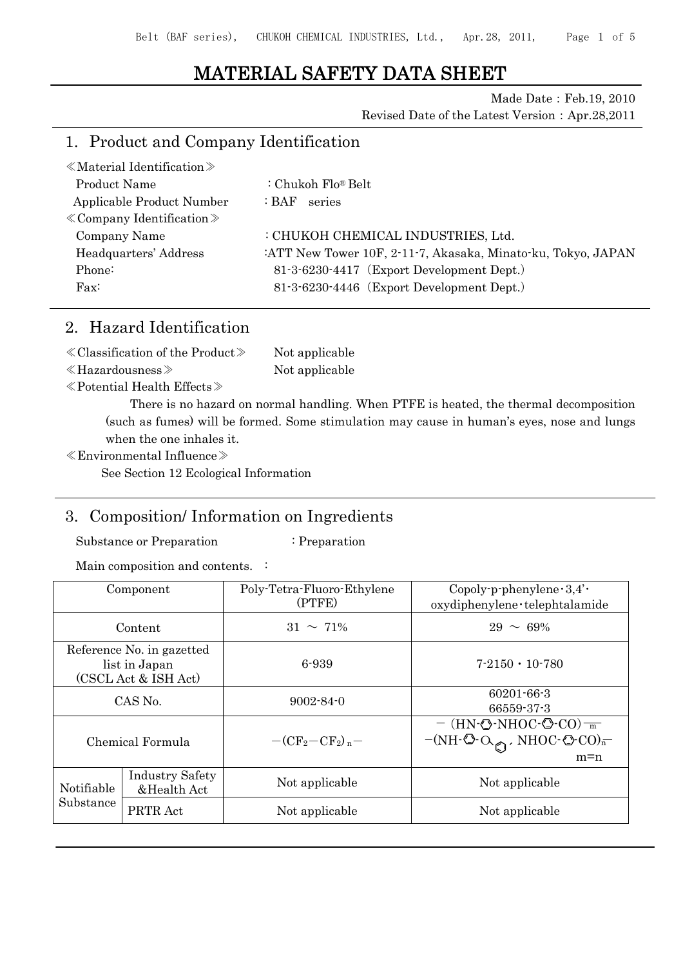# MATERIAL SAFETY DATA SHEET

Made Date: Feb.19, 2010

Revised Date of the Latest Version:Apr.28,2011

## 1. Product and Company Identification

| $\ll$ Material Identification $\gg$ |                                                              |
|-------------------------------------|--------------------------------------------------------------|
| Product Name                        | : Chukoh Flo® Belt                                           |
| Applicable Product Number           | :BAF:<br>series                                              |
| $\&$ Company Identification $\&$    |                                                              |
| Company Name                        | : CHUKOH CHEMICAL INDUSTRIES, Ltd.                           |
| Headquarters' Address               | :ATT New Tower 10F, 2-11-7, Akasaka, Minato-ku, Tokyo, JAPAN |
| Phone:                              | 81-3-6230-4417 (Export Development Dept.)                    |
| $\text{Fax}:$                       | 81-3-6230-4446 (Export Development Dept.)                    |
|                                     |                                                              |

# 2. Hazard Identification

| $\langle$ Classification of the Product $\rangle$ | Not applicable |
|---------------------------------------------------|----------------|
| $\ll$ Hazardousness $\gg$                         | Not applicable |

≪Potential Health Effects≫

There is no hazard on normal handling. When PTFE is heated, the thermal decomposition (such as fumes) will be formed. Some stimulation may cause in human's eyes, nose and lungs when the one inhales it.

≪Environmental Influence≫

See Section 12 Ecological Information

## 3. Composition/ Information on Ingredients

Substance or Preparation : Preparation

Main composition and contents. :

|                         | Component                                                          | Poly-Tetra-Fluoro-Ethylene<br>(PTFE)                        | Copoly-p-phenylene $\cdot 3,4' \cdot$<br>oxydiphenylene · telephtalamide                                                                                                                           |  |  |
|-------------------------|--------------------------------------------------------------------|-------------------------------------------------------------|----------------------------------------------------------------------------------------------------------------------------------------------------------------------------------------------------|--|--|
|                         | Content                                                            | $31 \sim 71\%$                                              | $29 \sim 69\%$                                                                                                                                                                                     |  |  |
|                         | Reference No. in gazetted<br>list in Japan<br>(CSCL Act & ISH Act) | 6-939                                                       | $7-2150 \cdot 10-780$                                                                                                                                                                              |  |  |
| CAS No.                 |                                                                    | $9002 - 84 - 0$                                             | $60201 - 66 - 3$<br>66559-37-3                                                                                                                                                                     |  |  |
| Chemical Formula        |                                                                    | $-$ (CF <sub>2</sub> $-$ CF <sub>2</sub> ) <sub>n</sub> $-$ | $-$ (HN- $\circled{}$ -NHOC- $\circled{}$ -CO) $\frac{ }{m}$<br>$-(NH\cdot\textcircled{O}\cdot\textcircled{O_{\textcircled{f}}})$ , NHOC $\cdot$ $($ $\textcircled{f}$ CO) <sub>n</sub><br>$m = n$ |  |  |
| Notifiable<br>Substance | <b>Industry Safety</b><br>&Health Act                              | Not applicable                                              | Not applicable                                                                                                                                                                                     |  |  |
|                         | PRTR Act                                                           | Not applicable                                              | Not applicable                                                                                                                                                                                     |  |  |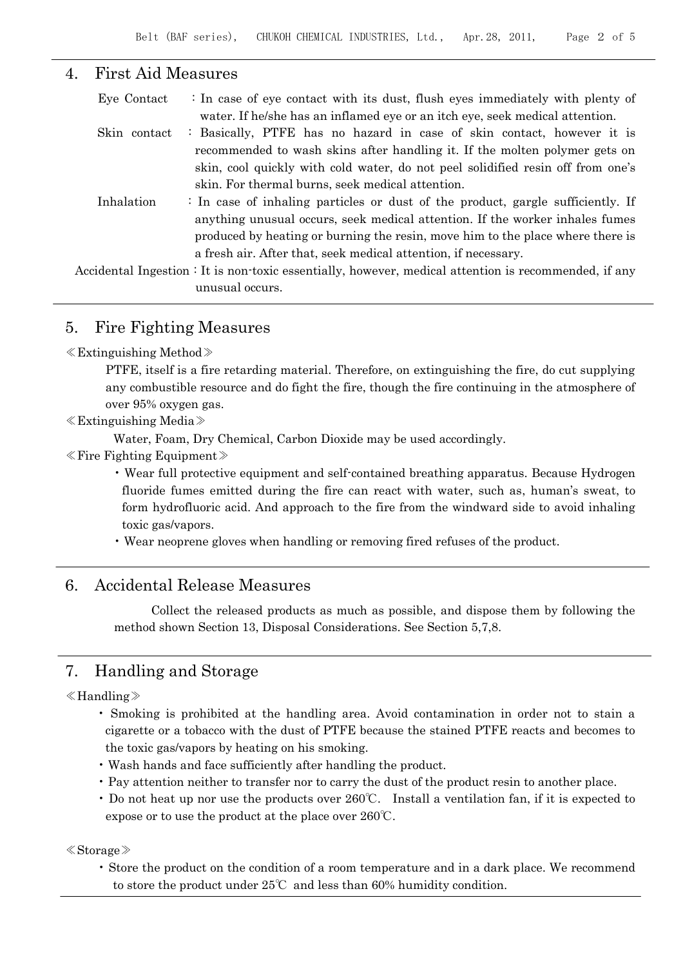### 4. First Aid Measures

| Eye Contact  | : In case of eye contact with its dust, flush eyes immediately with plenty of<br>water. If he/she has an inflamed eye or an itch eye, seek medical attention.                                                                                                                                                       |
|--------------|---------------------------------------------------------------------------------------------------------------------------------------------------------------------------------------------------------------------------------------------------------------------------------------------------------------------|
| Skin contact | : Basically, PTFE has no hazard in case of skin contact, however it is<br>recommended to wash skins after handling it. If the molten polymer gets on<br>skin, cool quickly with cold water, do not peel solidified resin off from one's<br>skin. For thermal burns, seek medical attention.                         |
| Inhalation   | : In case of inhaling particles or dust of the product, gargle sufficiently. If<br>anything unusual occurs, seek medical attention. If the worker inhales fumes<br>produced by heating or burning the resin, move him to the place where there is<br>a fresh air. After that, seek medical attention, if necessary. |
|              | Accidental Ingestion : It is non-toxic essentially, however, medical attention is recommended, if any<br>unusual occurs.                                                                                                                                                                                            |

## 5. Fire Fighting Measures

#### ≪Extinguishing Method≫

PTFE, itself is a fire retarding material. Therefore, on extinguishing the fire, do cut supplying any combustible resource and do fight the fire, though the fire continuing in the atmosphere of over 95% oxygen gas.

#### ≪Extinguishing Media≫

Water, Foam, Dry Chemical, Carbon Dioxide may be used accordingly.

≪Fire Fighting Equipment≫

• Wear full protective equipment and self-contained breathing apparatus. Because Hydrogen fluoride fumes emitted during the fire can react with water, such as, human's sweat, to form hydrofluoric acid. And approach to the fire from the windward side to avoid inhaling toxic gas/vapors.

• Wear neoprene gloves when handling or removing fired refuses of the product.

### 6. Accidental Release Measures

Collect the released products as much as possible, and dispose them by following the method shown Section 13, Disposal Considerations. See Section 5,7,8.

## 7. Handling and Storage

#### ≪Handling≫

- Smoking is prohibited at the handling area. Avoid contamination in order not to stain a cigarette or a tobacco with the dust of PTFE because the stained PTFE reacts and becomes to the toxic gas/vapors by heating on his smoking.
- Wash hands and face sufficiently after handling the product.
- Pay attention neither to transfer nor to carry the dust of the product resin to another place.
- Do not heat up nor use the products over 260℃. Install a ventilation fan, if it is expected to expose or to use the product at the place over 260℃.

#### ≪Storage≫

• Store the product on the condition of a room temperature and in a dark place. We recommend to store the product under 25℃ and less than 60% humidity condition.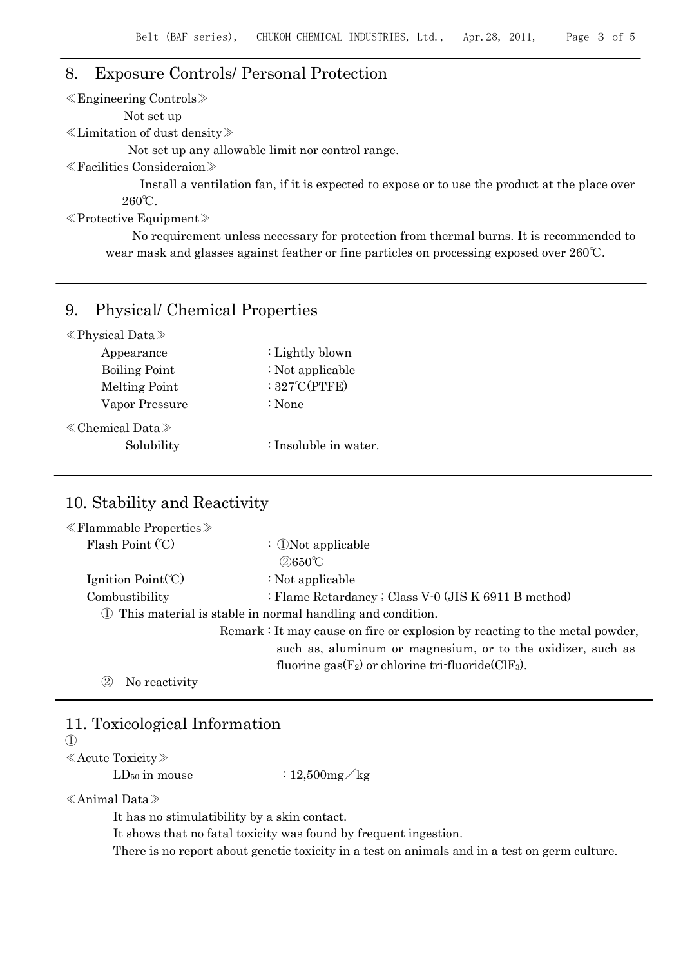## 8. Exposure Controls/ Personal Protection

≪Engineering Controls≫

Not set up

≪Limitation of dust density≫

Not set up any allowable limit nor control range.

≪Facilities Consideraion≫

Install a ventilation fan, if it is expected to expose or to use the product at the place over 260℃.

≪Protective Equipment≫

No requirement unless necessary for protection from thermal burns. It is recommended to wear mask and glasses against feather or fine particles on processing exposed over 260℃.

### 9. Physical/ Chemical Properties

| $\langle$ Physical Data $\rangle$ |  |
|-----------------------------------|--|
|-----------------------------------|--|

| Appearance               | : Lightly blown         |
|--------------------------|-------------------------|
| <b>Boiling Point</b>     | $\div$ Not applicable   |
| <b>Melting Point</b>     | : $327^{\circ}$ C(PTFE) |
| Vapor Pressure           | : None                  |
| $\&$ Chemical Data $\gg$ |                         |
| Solubility               | : Insoluble in water.   |
|                          |                         |

## 10. Stability and Reactivity

| $\ll$ Flammable Properties $\gg$                   |                                                                             |
|----------------------------------------------------|-----------------------------------------------------------------------------|
| Flash Point (°C)                                   | : $\mathbb{D}$ Not applicable                                               |
|                                                    | $(2)650^{\circ}$ C                                                          |
| Ignition $Point$ <sup>(<math>\degree</math>)</sup> | $\div$ Not applicable                                                       |
| Combustibility                                     | : Flame Retardancy; Class V-0 (JIS K 6911 B method)                         |
|                                                    | 1) This material is stable in normal handling and condition.                |
|                                                    | Remark : It may cause on fire or explosion by reacting to the metal powder, |
|                                                    | such as, aluminum or magnesium, or to the oxidizer, such as                 |
|                                                    | fluorine gas $(F_2)$ or chlorine tri-fluoride $(CIF_3)$ .                   |
| No reactivity                                      |                                                                             |

### 11. Toxicological Information

 $(1)$ 

≪Acute Toxicity≫

 $LD_{50}$  in mouse :  $12,500$  mg/kg

≪Animal Data≫

It has no stimulatibility by a skin contact.

It shows that no fatal toxicity was found by frequent ingestion.

There is no report about genetic toxicity in a test on animals and in a test on germ culture.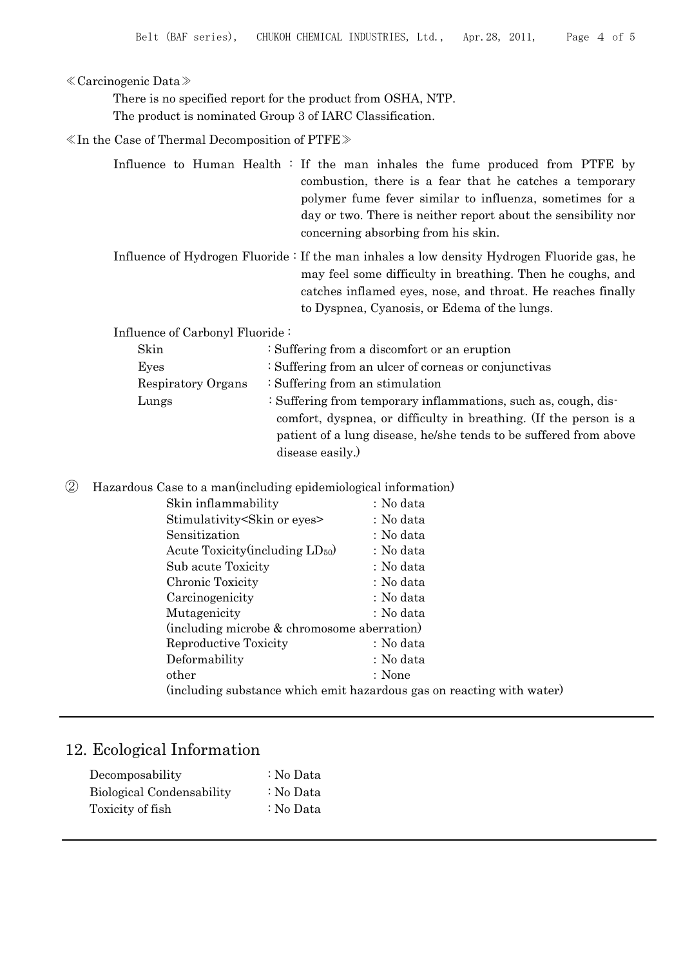#### ≪Carcinogenic Data≫

There is no specified report for the product from OSHA, NTP. The product is nominated Group 3 of IARC Classification.

≪In the Case of Thermal Decomposition of PTFE≫

|  |  |  |  |                                     |  | Influence to Human Health : If the man inhales the fume produced from PTFE by |  |  |
|--|--|--|--|-------------------------------------|--|-------------------------------------------------------------------------------|--|--|
|  |  |  |  |                                     |  | combustion, there is a fear that he catches a temporary                       |  |  |
|  |  |  |  |                                     |  | polymer fume fever similar to influenza, sometimes for a                      |  |  |
|  |  |  |  |                                     |  | day or two. There is neither report about the sensibility nor                 |  |  |
|  |  |  |  | concerning absorbing from his skin. |  |                                                                               |  |  |

Influence of Hydrogen Fluoride : If the man inhales a low density Hydrogen Fluoride gas, he may feel some difficulty in breathing. Then he coughs, and catches inflamed eyes, nose, and throat. He reaches finally to Dyspnea, Cyanosis, or Edema of the lungs.

Influence of Carbonyl Fluoride :

| Skin               | : Suffering from a discomfort or an eruption                      |  |  |  |  |
|--------------------|-------------------------------------------------------------------|--|--|--|--|
| Eyes               | : Suffering from an ulcer of corneas or conjunctivas              |  |  |  |  |
| Respiratory Organs | : Suffering from an stimulation                                   |  |  |  |  |
| Lungs              | : Suffering from temporary inflammations, such as, cough, dis-    |  |  |  |  |
|                    | comfort, dyspnea, or difficulty in breathing. (If the person is a |  |  |  |  |
|                    | patient of a lung disease, he/she tends to be suffered from above |  |  |  |  |
|                    | disease easily.)                                                  |  |  |  |  |
|                    |                                                                   |  |  |  |  |

② Hazardous Case to a man(including epidemiological information)

| Skin inflammability                                                   | : No data |
|-----------------------------------------------------------------------|-----------|
| Stimulativity Skin or eyes                                            | : No data |
| Sensitization                                                         | : No data |
| Acute Toxicity (including $LD_{50}$ )                                 | : No data |
| Sub acute Toxicity                                                    | : No data |
| Chronic Toxicity                                                      | : No data |
| Carcinogenicity                                                       | : No data |
| Mutagenicity                                                          | : No data |
| (including microbe & chromosome aberration)                           |           |
| Reproductive Toxicity                                                 | : No data |
| Deformability                                                         | : No data |
| other                                                                 | : None    |
| (including substance which emit hazardous gas on reacting with water) |           |
|                                                                       |           |

## 12. Ecological Information

| Decomposability           | : No Data |
|---------------------------|-----------|
| Biological Condensability | : No Data |
| Toxicity of fish          | : No Data |